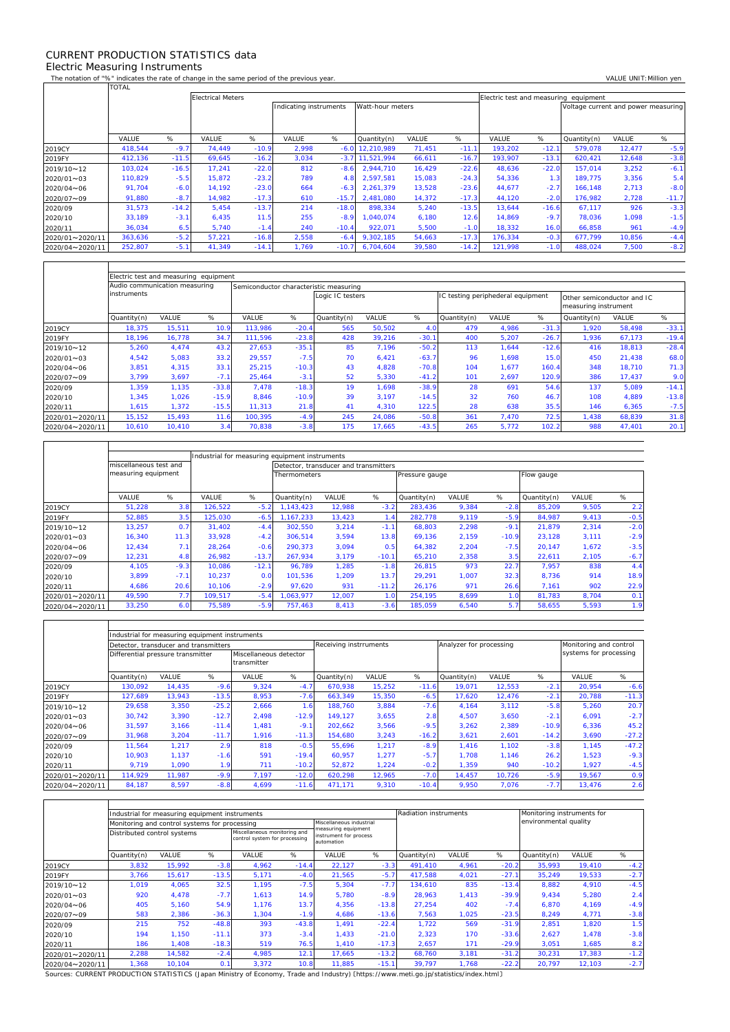## CURRENT PRODUCTION STATISTICS data Electric Measuring Instruments

 $\Gamma$ 

 $\mathbf{r}$ 

 $\overline{\mathsf{T}}$ 

٦

The notation of "%" indicates the rate of change in the same period of the previous year. VALUE UNIT:Million yen<br>TOTAL TOTAL

|                 |         |         | <b>Electrical Meters</b> |         |                                            |         |             |        |         |         | Electric test and measuring equipment |                                     |        |         |  |  |
|-----------------|---------|---------|--------------------------|---------|--------------------------------------------|---------|-------------|--------|---------|---------|---------------------------------------|-------------------------------------|--------|---------|--|--|
|                 |         |         |                          |         | Indicating instruments<br>Watt-hour meters |         |             |        |         |         |                                       | Voltage current and power measuring |        |         |  |  |
|                 |         |         |                          |         |                                            |         |             |        |         |         |                                       |                                     |        |         |  |  |
|                 |         |         |                          |         |                                            |         |             |        |         |         |                                       |                                     |        |         |  |  |
|                 | VALUE   | %       | VALUE                    | %       | VALUE                                      | %       | Quantity(n) | VALUE  | %       | VALUE   | %                                     | Quantity(n)                         | VALUE  | %       |  |  |
| 2019CY          | 418.544 | $-9.7$  | 74.449                   | $-10.9$ | 2,998                                      | $-6.0$  | 12.210.989  | 71,451 | $-11.1$ | 193,202 | $-12.1$                               | 579,078                             | 12,477 | $-5.9$  |  |  |
| 2019FY          | 412,136 | $-11.5$ | 69,645                   | $-16.2$ | 3,034                                      | $-3.7$  | 11,521,994  | 66,611 | $-16.7$ | 193,907 | $-13.1$                               | 620,421                             | 12,648 | $-3.8$  |  |  |
| 2019/10~12      | 103,024 | $-16.5$ | 17,241                   | $-22.0$ | 812                                        | $-8.6$  | 2.944.710   | 16,429 | $-22.6$ | 48,636  | $-22.0$                               | 157.014                             | 3,252  | $-6.1$  |  |  |
| 2020/01~03      | 110.829 | $-5.5$  | 15.872                   | $-23.2$ | 789                                        | 4.8     | 2.597.581   | 15,083 | $-24.3$ | 54,336  | 1.3                                   | 189.775                             | 3,356  | 5.4     |  |  |
| 2020/04~06      | 91.704  | $-6.0$  | 14.192                   | $-23.0$ | 664                                        | $-6.3$  | 2,261,379   | 13,528 | $-23.6$ | 44.677  | $-2.7$                                | 166.148                             | 2,713  | $-8.0$  |  |  |
| 2020/07~09      | 91,880  | $-8.7$  | 14,982                   | $-17.3$ | 610                                        | $-15.7$ | 2.481.080   | 14,372 | $-17.3$ | 44,120  | $-2.0$                                | 176,982                             | 2,728  | $-11.7$ |  |  |
| 2020/09         | 31,573  | $-14.2$ | 5,454                    | $-13.7$ | 214                                        | $-18.0$ | 898,334     | 5,240  | $-13.5$ | 13,644  | $-16.6$                               | 67,117                              | 926    | $-3.3$  |  |  |
| 2020/10         | 33,189  | $-3.1$  | 6.435                    | 11.5    | 255                                        | $-8.9$  | .040.074    | 6,180  | 12.6    | 14.869  | $-9.7$                                | 78,036                              | 1,098  | $-1.5$  |  |  |
| 2020/11         | 36,034  | 6.5     | 5,740                    | $-1.4$  | 240                                        | $-10.4$ | 922,071     | 5,500  | $-1.0$  | 18,332  | 16.0                                  | 66,858                              | 961    | $-4.9$  |  |  |
| 2020/01~2020/11 | 363,636 | $-5.2$  | 57,221                   | $-16.8$ | 2,558                                      | $-6.4$  | 9,302,185   | 54,663 | $-17.3$ | 176,334 | $-0.3$                                | 677.799                             | 10,856 | $-4.4$  |  |  |
| 2020/04~2020/11 | 252,807 | $-5.1$  | 41,349                   | $-14.1$ | 1.769                                      | $-10.7$ | 6.704.604   | 39,580 | $-14.2$ | 121,998 | $-1.0$                                | 488,024                             | 7,500  | $-8.2$  |  |  |

|                 | Electric test and measuring equipment |                               |         |                                        |         |                  |        |         |                                   |       |                 |                                                    |        |         |  |  |
|-----------------|---------------------------------------|-------------------------------|---------|----------------------------------------|---------|------------------|--------|---------|-----------------------------------|-------|-----------------|----------------------------------------------------|--------|---------|--|--|
|                 |                                       | Audio communication measuring |         | Semiconductor characteristic measuring |         |                  |        |         |                                   |       |                 |                                                    |        |         |  |  |
|                 | instruments                           |                               |         |                                        |         | Logic IC testers |        |         | IC testing periphederal equipment |       |                 | Other semiconductor and IC<br>measuring instrument |        |         |  |  |
|                 | Quantity(n)                           | VALUE                         | %       | VALUE                                  | %       | Quantity(n)      | VALUE  | %       | Quantity(n)                       | VALUE | %               | Quantity(n)                                        | VALUE  | %       |  |  |
| 2019CY          | 18,375                                | 15,511                        | 10.9    | 113.986                                | $-20.4$ | 565              | 50,502 | 4.0     | 479                               | 4,986 | $-31.3$         | 1.920                                              | 58,498 | $-33.1$ |  |  |
| 2019FY          | 18,196                                | 16.778                        | 34.7    | 111.596                                | $-23.8$ | 428              | 39,216 | $-30.1$ | 400                               | 5,207 | $-26.7$         | 1.936                                              | 67,173 | $-19.4$ |  |  |
| 2019/10~12      | 5,260                                 | 4.474                         | 43.2    | 27.653                                 | $-35.1$ | 85               | 7,196  | $-50.2$ | 113                               | 1,644 | $-12.6$         | 416                                                | 18,813 | $-28.4$ |  |  |
| 2020/01~03      | 4,542                                 | 5,083                         | 33.2    | 29.557                                 | $-7.5$  | 70               | 6,421  | $-63.7$ | 96                                | 1,698 | 15 <sub>c</sub> | 450                                                | 21,438 | 68.0    |  |  |
| 2020/04~06      | 3.851                                 | 4.315                         | 33.1    | 25.215                                 | $-10.3$ | 43               | 4.828  | $-70.8$ | 104                               | 1,677 | 160.4           | 348                                                | 18.710 | 71.3    |  |  |
| 2020/07~09      | 3.799                                 | 3.697                         | $-7.1$  | 25,464                                 | $-3.1$  | 52               | 5,330  | $-41.2$ | 101                               | 2,697 | 120.9           | 386                                                | 17,437 | 9.0     |  |  |
| 2020/09         | 1,359                                 | 1,135                         | $-33.8$ | 7.478                                  | $-18.3$ | 19               | 1.698  | $-38.9$ | 28                                | 691   | 54.6            | 137                                                | 5.089  | $-14.1$ |  |  |
| 2020/10         | 1,345                                 | 1,026                         | $-15.9$ | 8,846                                  | $-10.9$ | 39               | 3.197  | $-14.5$ | 32                                | 760   | 46.7            | 108                                                | 4,889  | $-13.8$ |  |  |
| 2020/11         | 1.615                                 | 1.372                         | $-15.5$ | 11.313                                 | 21.8    | 41               | 4.310  | 122.5   | 28                                | 638   | 35.5            | 146                                                | 6,365  | $-7.5$  |  |  |
| 2020/01~2020/11 | 15,152                                | 15.493                        | 11.6    | 100.395                                | $-4.9$  | 245              | 24,086 | $-50.8$ | 361                               | 7,470 | 72.5            | .438                                               | 68,839 | 31.8    |  |  |
| 2020/04~2020/11 | 10,610                                | 10,410                        | 3.4     | 70,838                                 | $-3.8$  | 175              | 17,665 | $-43.5$ | 265                               | 5,772 | 102.2           | 988                                                | 47,401 | 20.1    |  |  |

|                 | Industrial for measuring equipment instruments |        |         |         |                                       |        |         |                |       |         |             |       |        |  |
|-----------------|------------------------------------------------|--------|---------|---------|---------------------------------------|--------|---------|----------------|-------|---------|-------------|-------|--------|--|
|                 | miscellaneous test and                         |        |         |         | Detector, transducer and transmitters |        |         |                |       |         |             |       |        |  |
|                 | measuring equipment                            |        |         |         | <b>Thermometers</b>                   |        |         | Pressure gauge |       |         | Flow gauge  |       |        |  |
|                 |                                                |        |         |         |                                       |        |         |                |       |         |             |       |        |  |
|                 | VALUE                                          | %      | VALUE   | %       | Quantity(n)                           | VALUE  | %       | Quantity(n)    | VALUE | %       | Quantity(n) | VALUE | %      |  |
| 2019CY          | 51,228                                         | 3.8    | 126,522 | $-5.2$  | 1.143.423                             | 12,988 | $-3.2$  | 283,436        | 9,384 | $-2.8$  | 85.209      | 9,505 | 2.2    |  |
| 2019FY          | 52,885                                         | 3.5    | 125,030 | $-6.5$  | 1.167.233                             | 13,423 |         | 282.778        | 9.119 | $-5.9$  | 84.987      | 9.413 | $-0.5$ |  |
| 2019/10~12      | 13,257                                         | 0.7    | 31.402  | $-4.4$  | 302.550                               | 3,214  | $-1.1$  | 68,803         | 2,298 | $-9.1$  | 21.879      | 2,314 | $-2.0$ |  |
| 2020/01~03      | 16,340                                         | 11.3   | 33,928  | $-4.2$  | 306,514                               | 3,594  | 13.8    | 69,136         | 2,159 | $-10.9$ | 23,128      | 3,111 | $-2.9$ |  |
| 2020/04~06      | 12,434                                         | 7.1    | 28,264  | $-0.6$  | 290.373                               | 3,094  | 0.5     | 64,382         | 2,204 | $-7.5$  | 20,147      | 1,672 | $-3.5$ |  |
| 2020/07~09      | 12,231                                         | 4.8    | 26,982  | $-13.7$ | 267.934                               | 3,179  | $-10.1$ | 65,210         | 2,358 | 3.5     | 22,611      | 2,105 | $-6.7$ |  |
| 2020/09         | 4.105                                          | $-9.3$ | 10.086  | $-12.1$ | 96.789                                | 1.285  | $-1.8$  | 26.815         | 973   | 22.7    | 7.957       | 838   | 4.4    |  |
| 2020/10         | 3,899                                          | $-7.1$ | 10.237  | 0.0     | 101.536                               | 1,209  | 13.7    | 29.291         | 1,007 | 32.3    | 8,736       | 914   | 18.9   |  |
| 2020/11         | 4,686                                          | 20.6   | 10.106  | $-2.9$  | 97.620                                | 931    | $-11.2$ | 26.176         | 971   | 26.6    | 7.161       | 902   | 22.9   |  |
| 2020/01~2020/11 | 49,590                                         | 7.7    | 109.517 | $-5.4$  | 1.063.977                             | 12,007 | 1.0     | 254,195        | 8,699 | 1.0     | 81.783      | 8.704 | 0.1    |  |
| 2020/04~2020/11 | 33,250                                         | 6.0    | 75,589  | $-5.9$  | 757,463                               | 8,413  | $-3.6$  | 185,059        | 6,540 | 5.7     | 58,655      | 5,593 | 1.9    |  |

|                 | Industrial for measuring equipment instruments |                                       |         |                                       |         |             |                        |         |             |                         |                        |        |         |  |  |
|-----------------|------------------------------------------------|---------------------------------------|---------|---------------------------------------|---------|-------------|------------------------|---------|-------------|-------------------------|------------------------|--------|---------|--|--|
|                 |                                                | Detector, transducer and transmitters |         |                                       |         |             | Receiving instrruments |         |             | Analyzer for processing | Monitoring and control |        |         |  |  |
|                 | Differential pressure transmitter              |                                       |         | Miscellaneous detector<br>transmitter |         |             |                        |         |             |                         | systems for processing |        |         |  |  |
|                 | Quantity(n)                                    | <b>VALUE</b>                          | %       | VALUE                                 | %       | Quantity(n) | VALUE                  | %       | Quantity(n) | VALUE                   | %                      | VALUE  | %       |  |  |
| 2019CY          | 130.092                                        | 14,435                                | $-9.6$  | 9.324                                 | $-4.7$  | 670.938     | 15,252                 | $-11.6$ | 19.071      | 12.553                  | $-2.7$                 | 20.954 | $-6.6$  |  |  |
| 2019FY          | 127,689                                        | 13,943                                | $-13.5$ | 8,953                                 | $-7.6$  | 663,349     | 15,350                 | $-6.5$  | 17,620      | 12,476                  | $-2.1$                 | 20,788 | $-11.3$ |  |  |
| 2019/10~12      | 29,658                                         | 3,350                                 | $-25.2$ | 2,666                                 | 1.6     | 188.760     | 3,884                  | $-7.6$  | 4.164       | 3.112                   | $-5.8$                 | 5.260  | 20.7    |  |  |
| 2020/01~03      | 30,742                                         | 3,390                                 | $-12.7$ | 2.498                                 | $-12.9$ | 149.127     | 3,655                  | 2.8     | 4,507       | 3,650                   | $-2.1$                 | 6,091  | $-2.7$  |  |  |
| 2020/04~06      | 31,597                                         | 3,166                                 | $-11.4$ | 1,481                                 | $-9.1$  | 202,662     | 3,566                  | $-9.5$  | 3,262       | 2,389                   | $-10.9$                | 6,336  | 45.2    |  |  |
| 2020/07~09      | 31,968                                         | 3,204                                 | $-11.7$ | 1.916                                 | $-11.3$ | 154,680     | 3,243                  | $-16.2$ | 3,621       | 2,601                   | $-14.2$                | 3,690  | $-27.2$ |  |  |
| 2020/09         | 11,564                                         | 1,217                                 | 2.9     | 818                                   | $-0.5$  | 55,696      | 1,217                  | $-8.9$  | 1.416       | 1,102                   | $-3.8$                 | 1.145  | $-47.2$ |  |  |
| 2020/10         | 10,903                                         | 1,137                                 | $-1.6$  | 591                                   | $-19.4$ | 60,957      | 1,277                  | $-5.7$  | 1,708       | 1,146                   | 26.2                   | 1,523  | $-9.3$  |  |  |
| 2020/11         | 9.719                                          | 1.090                                 | 1.9     | 711                                   | $-10.2$ | 52,872      | 1,224                  | $-0.2$  | 1,359       | 940                     | $-10.2$                | 1.927  | $-4.5$  |  |  |
| 2020/01~2020/11 | 114,929                                        | 11,987                                | $-9.9$  | 7,197                                 | $-12.0$ | 620,298     | 12,965                 | $-7.0$  | 14,457      | 10.726                  | $-5.9$                 | 19,567 | 0.9     |  |  |
| 2020/04~2020/11 | 84,187                                         | 8,597                                 | $-8.8$  | 4,699                                 | $-11.6$ | 471,171     | 9,310                  | $-10.4$ | 9,950       | 7,076                   | $-7.7$                 | 13,476 | 2.6     |  |  |

|                 |                             | Industrial for measuring equipment instruments |         |                                                               |         | Radiation instruments                                       |         |             | Monitoring instruments for |         |                       |        |        |  |
|-----------------|-----------------------------|------------------------------------------------|---------|---------------------------------------------------------------|---------|-------------------------------------------------------------|---------|-------------|----------------------------|---------|-----------------------|--------|--------|--|
|                 |                             | Monitoring and control systems for processing  |         |                                                               |         | Miscellaneous industrial                                    |         |             |                            |         | environmental quality |        |        |  |
|                 | Distributed control systems |                                                |         | Miscellaneous monitoring and<br>control system for processing |         | measuring equipment<br>instrument for process<br>automation |         |             |                            |         |                       |        |        |  |
|                 | Quantity(n)                 | <b>VALUE</b>                                   | %       | VALUE                                                         | %       | VALUE                                                       | %       | Quantity(n) | VALUE                      | %       | Quantity(n)           | VALUE  | %      |  |
| 2019CY          | 3,832                       | 15,992                                         | $-3.8$  | 4,962                                                         | $-14.4$ | 22,127                                                      | $-3.3$  | 491,410     | 4,961                      | $-20.2$ | 35,993                | 19,410 | $-4.2$ |  |
| 2019FY          | 3.766                       | 15.617                                         | $-13.5$ | 5,171                                                         | $-4.0$  | 21.565                                                      | $-5.7$  | 417.588     | 4,021                      | $-27.1$ | 35.249                | 19,533 | $-2.7$ |  |
| 2019/10~12      | 1.019                       | 4.065                                          | 32.5    | 1.195                                                         | $-7.5$  | 5.304                                                       | $-7.7$  | 134.610     | 835                        | $-13.4$ | 8.882                 | 4.910  | $-4.5$ |  |
| 2020/01~03      | 920                         | 4.478                                          | $-7.7$  | 1.613                                                         | 14.9    | 5.780                                                       | $-8.9$  | 28.963      | 1.413                      | $-39.9$ | 9.434                 | 5,280  | 2.4    |  |
| 2020/04~06      | 405                         | 5,160                                          | 54.9    | 1.176                                                         | 13.7    | 4,356                                                       | $-13.8$ | 27.254      | 402                        | $-7.4$  | 6,870                 | 4,169  | $-4.9$ |  |
| 2020/07~09      | 583                         | 2,386                                          | $-36.3$ | 1,304                                                         | $-1.9$  | 4,686                                                       | $-13.6$ | 7,563       | 1,025                      | $-23.5$ | 8,249                 | 4,771  | $-3.8$ |  |
| 2020/09         | 215                         | 752                                            | $-48.8$ | 393                                                           | $-43.8$ | 1.491                                                       | $-22.4$ | 1,722       | 569                        | $-31.9$ | 2,851                 | 1,820  | 1.5    |  |
| 2020/10         | 194                         | 1,150                                          | $-11.1$ | 373                                                           | $-3.4$  | 1.433                                                       | $-21.0$ | 2,323       | 170                        | $-33.6$ | 2,627                 | 1,478  | $-3.8$ |  |
| 2020/11         | 186                         | 1,408                                          | $-18.3$ | 519                                                           | 76.5    | 1.410                                                       | $-17.3$ | 2,657       | 171                        | $-29.9$ | 3,051                 | 1,685  | 8.2    |  |
| 2020/01~2020/11 | 2,288                       | 14,582                                         | $-2.4$  | 4,985                                                         | 12.7    | 17.665                                                      | $-13.2$ | 68.760      | 3,181                      | $-31.2$ | 30,231                | 17,383 | $-1.2$ |  |
| 2020/04~2020/11 | 1,368                       | 10,104                                         | 0.1     | 3,372                                                         | 10.8    | 11.885                                                      | $-15.1$ | 39,797      | 1.768                      | $-22.2$ | 20.797                | 12,103 | $-2.7$ |  |

Sources: CURRENT PRODUCTION STATISTICS (Japan Ministry of Economy, Trade and Industry) 〔https://www.meti.go.jp/statistics/index.html〕